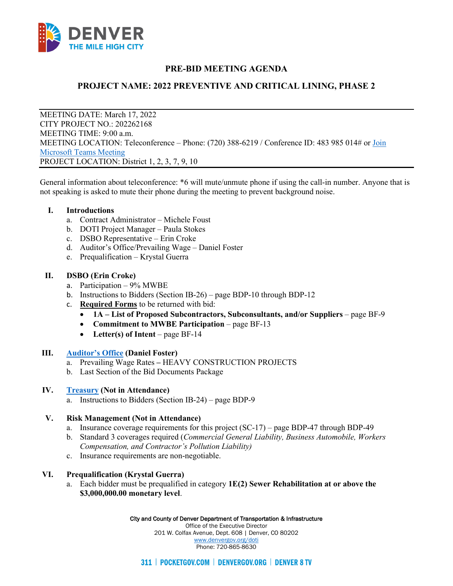

# **PRE-BID MEETING AGENDA**

# **PROJECT NAME: 2022 PREVENTIVE AND CRITICAL LINING, PHASE 2**

MEETING DATE: March 17, 2022 CITY PROJECT NO.: 202262168 MEETING TIME: 9:00 a.m. MEETING LOCATION: Teleconference – Phone: (720) 388-6219 / Conference ID: 483 985 014# or [Join](https://teams.microsoft.com/l/meetup-join/19%3ameeting_NjQ2Yzg5M2UtYTliMS00NWQ4LTg5MDYtMTI0ZmNjZTE4MjYy%40thread.v2/0?context=%7b%22Tid%22%3a%2239c87ab3-6612-42c0-9620-a696d12df803%22%2c%22Oid%22%3a%229cfd27a4-97f9-4da7-bfda-409e7ef99163%22%7d)  [Microsoft Teams Meeting](https://teams.microsoft.com/l/meetup-join/19%3ameeting_NjQ2Yzg5M2UtYTliMS00NWQ4LTg5MDYtMTI0ZmNjZTE4MjYy%40thread.v2/0?context=%7b%22Tid%22%3a%2239c87ab3-6612-42c0-9620-a696d12df803%22%2c%22Oid%22%3a%229cfd27a4-97f9-4da7-bfda-409e7ef99163%22%7d) PROJECT LOCATION: District 1, 2, 3, 7, 9, 10

General information about teleconference: \*6 will mute/unmute phone if using the call-in number. Anyone that is not speaking is asked to mute their phone during the meeting to prevent background noise.

#### **I. Introductions**

- a. Contract Administrator Michele Foust
- b. DOTI Project Manager Paula Stokes
- c. DSBO Representative Erin Croke
- d. Auditor's Office/Prevailing Wage Daniel Foster
- e. Prequalification Krystal Guerra

### **II. DSBO (Erin Croke)**

- a. Participation 9% MWBE
- b. Instructions to Bidders (Section IB-26) page BDP-10 through BDP-12
- c. **Required Forms** to be returned with bid:
	- **1A – List of Proposed Subcontractors, Subconsultants, and/or Suppliers** page BF-9
	- **Commitment to MWBE Participation** page BF-13
	- **Letter(s) of Intent** page BF-14

### **III. [Auditor's Office](https://denvergov.org/Government/Agencies-Departments-Offices/Auditors-Office/Denver-Labor/Prevailing-Wage) (Daniel Foster)**

- a. Prevailing Wage Rates **–** HEAVY CONSTRUCTION PROJECTS
- b. Last Section of the Bid Documents Package

### **IV. [Treasury](https://www.denvergov.org/Government/Agencies-Departments-Offices/Department-of-Finance/Our-Divisions/Treasury/Business-Tax-Information) (Not in Attendance)**

a. Instructions to Bidders (Section IB-24) – page BDP-9

### **V. Risk Management (Not in Attendance)**

- a. Insurance coverage requirements for this project (SC-17) page BDP-47 through BDP-49
- b. Standard 3 coverages required (*Commercial General Liability, Business Automobile, Workers Compensation, and Contractor's Pollution Liability)*
- c. Insurance requirements are non-negotiable.

### **VI. Prequalification (Krystal Guerra)**

a. Each bidder must be prequalified in category **1E(2) Sewer Rehabilitation at or above the \$3,000,000.00 monetary level**.

#### City and County of Denver Department of Transportation & Infrastructure

Office of the Executive Director 201 W. Colfax Avenue, Dept. 608 | Denver, CO 80202 [www.denvergov.org/doti](https://www.denvergov.org/content/denvergov/en/transportation-mobility.html) Phone: 720-865-8630